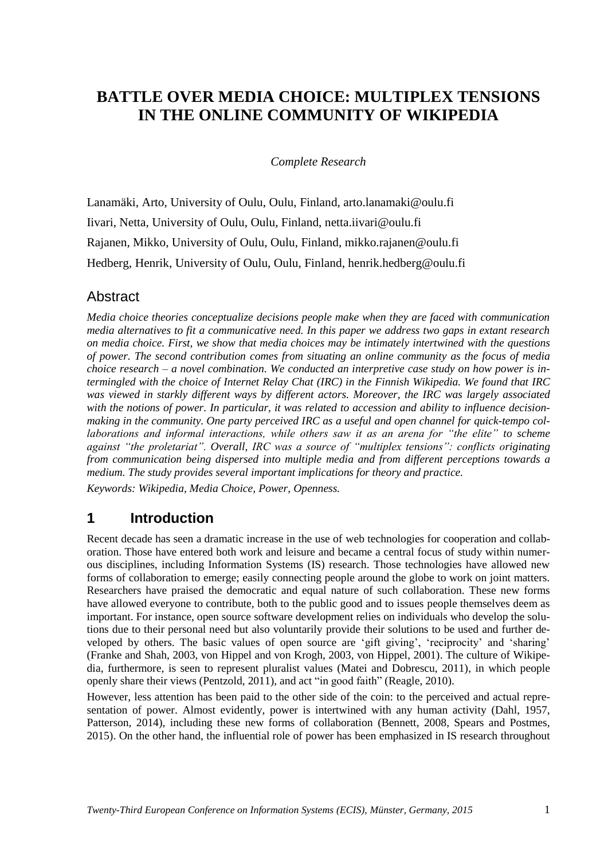# **BATTLE OVER MEDIA CHOICE: MULTIPLEX TENSIONS IN THE ONLINE COMMUNITY OF WIKIPEDIA**

*Complete Research*

Lanamäki, Arto, University of Oulu, Oulu, Finland, arto.lanamaki@oulu.fi Iivari, Netta, University of Oulu, Oulu, Finland, netta.iivari@oulu.fi Rajanen, Mikko, University of Oulu, Oulu, Finland, mikko.rajanen@oulu.fi Hedberg, Henrik, University of Oulu, Oulu, Finland, henrik.hedberg@oulu.fi

## **Abstract**

*Media choice theories conceptualize decisions people make when they are faced with communication media alternatives to fit a communicative need. In this paper we address two gaps in extant research on media choice. First, we show that media choices may be intimately intertwined with the questions of power. The second contribution comes from situating an online community as the focus of media choice research – a novel combination. We conducted an interpretive case study on how power is intermingled with the choice of Internet Relay Chat (IRC) in the Finnish Wikipedia. We found that IRC was viewed in starkly different ways by different actors. Moreover, the IRC was largely associated with the notions of power. In particular, it was related to accession and ability to influence decisionmaking in the community. One party perceived IRC as a useful and open channel for quick-tempo collaborations and informal interactions, while others saw it as an arena for "the elite" to scheme against "the proletariat". Overall, IRC was a source of "multiplex tensions": conflicts originating from communication being dispersed into multiple media and from different perceptions towards a medium. The study provides several important implications for theory and practice.*

*Keywords: Wikipedia, Media Choice, Power, Openness.*

## **1 Introduction**

Recent decade has seen a dramatic increase in the use of web technologies for cooperation and collaboration. Those have entered both work and leisure and became a central focus of study within numerous disciplines, including Information Systems (IS) research. Those technologies have allowed new forms of collaboration to emerge; easily connecting people around the globe to work on joint matters. Researchers have praised the democratic and equal nature of such collaboration. These new forms have allowed everyone to contribute, both to the public good and to issues people themselves deem as important. For instance, open source software development relies on individuals who develop the solutions due to their personal need but also voluntarily provide their solutions to be used and further developed by others. The basic values of open source are 'gift giving', 'reciprocity' and 'sharing' (Franke and Shah, 2003, von Hippel and von Krogh, 2003, von Hippel, 2001). The culture of Wikipedia, furthermore, is seen to represent pluralist values (Matei and Dobrescu, 2011), in which people openly share their views (Pentzold, 2011), and act "in good faith" (Reagle, 2010).

However, less attention has been paid to the other side of the coin: to the perceived and actual representation of power. Almost evidently, power is intertwined with any human activity (Dahl, 1957, Patterson, 2014), including these new forms of collaboration (Bennett, 2008, Spears and Postmes, 2015). On the other hand, the influential role of power has been emphasized in IS research throughout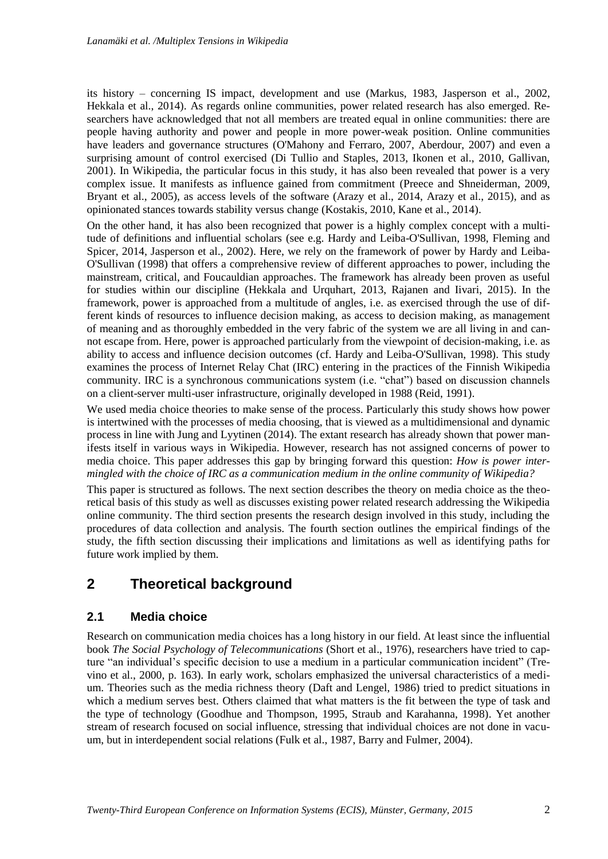its history – concerning IS impact, development and use (Markus, 1983, Jasperson et al., 2002, Hekkala et al., 2014). As regards online communities, power related research has also emerged. Researchers have acknowledged that not all members are treated equal in online communities: there are people having authority and power and people in more power-weak position. Online communities have leaders and governance structures (O'Mahony and Ferraro, 2007, Aberdour, 2007) and even a surprising amount of control exercised (Di Tullio and Staples, 2013, Ikonen et al., 2010, Gallivan, 2001). In Wikipedia, the particular focus in this study, it has also been revealed that power is a very complex issue. It manifests as influence gained from commitment (Preece and Shneiderman, 2009, Bryant et al., 2005), as access levels of the software (Arazy et al., 2014, Arazy et al., 2015), and as opinionated stances towards stability versus change (Kostakis, 2010, Kane et al., 2014).

On the other hand, it has also been recognized that power is a highly complex concept with a multitude of definitions and influential scholars (see e.g. Hardy and Leiba-O'Sullivan, 1998, Fleming and Spicer, 2014, Jasperson et al., 2002). Here, we rely on the framework of power by Hardy and Leiba-O'Sullivan (1998) that offers a comprehensive review of different approaches to power, including the mainstream, critical, and Foucauldian approaches. The framework has already been proven as useful for studies within our discipline (Hekkala and Urquhart, 2013, Rajanen and Iivari, 2015). In the framework, power is approached from a multitude of angles, i.e. as exercised through the use of different kinds of resources to influence decision making, as access to decision making, as management of meaning and as thoroughly embedded in the very fabric of the system we are all living in and cannot escape from. Here, power is approached particularly from the viewpoint of decision-making, i.e. as ability to access and influence decision outcomes (cf. Hardy and Leiba-O'Sullivan, 1998). This study examines the process of Internet Relay Chat (IRC) entering in the practices of the Finnish Wikipedia community. IRC is a synchronous communications system (i.e. "chat") based on discussion channels on a client-server multi-user infrastructure, originally developed in 1988 (Reid, 1991).

We used media choice theories to make sense of the process. Particularly this study shows how power is intertwined with the processes of media choosing, that is viewed as a multidimensional and dynamic process in line with Jung and Lyytinen (2014). The extant research has already shown that power manifests itself in various ways in Wikipedia. However, research has not assigned concerns of power to media choice. This paper addresses this gap by bringing forward this question: *How is power intermingled with the choice of IRC as a communication medium in the online community of Wikipedia?*

This paper is structured as follows. The next section describes the theory on media choice as the theoretical basis of this study as well as discusses existing power related research addressing the Wikipedia online community. The third section presents the research design involved in this study, including the procedures of data collection and analysis. The fourth section outlines the empirical findings of the study, the fifth section discussing their implications and limitations as well as identifying paths for future work implied by them.

# **2 Theoretical background**

#### **2.1 Media choice**

Research on communication media choices has a long history in our field. At least since the influential book *The Social Psychology of Telecommunications* (Short et al., 1976), researchers have tried to capture "an individual's specific decision to use a medium in a particular communication incident" (Trevino et al., 2000, p. 163). In early work, scholars emphasized the universal characteristics of a medium. Theories such as the media richness theory (Daft and Lengel, 1986) tried to predict situations in which a medium serves best. Others claimed that what matters is the fit between the type of task and the type of technology (Goodhue and Thompson, 1995, Straub and Karahanna, 1998). Yet another stream of research focused on social influence, stressing that individual choices are not done in vacuum, but in interdependent social relations (Fulk et al., 1987, Barry and Fulmer, 2004).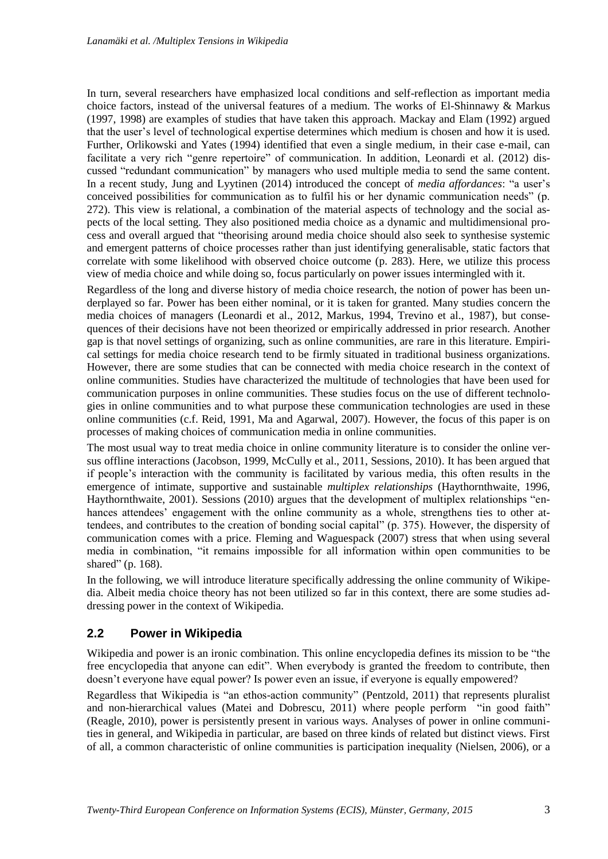In turn, several researchers have emphasized local conditions and self-reflection as important media choice factors, instead of the universal features of a medium. The works of El-Shinnawy & Markus (1997, 1998) are examples of studies that have taken this approach. Mackay and Elam (1992) argued that the user's level of technological expertise determines which medium is chosen and how it is used. Further, Orlikowski and Yates (1994) identified that even a single medium, in their case e-mail, can facilitate a very rich "genre repertoire" of communication. In addition, Leonardi et al. (2012) discussed "redundant communication" by managers who used multiple media to send the same content. In a recent study, Jung and Lyytinen (2014) introduced the concept of *media affordances*: "a user's conceived possibilities for communication as to fulfil his or her dynamic communication needs" (p. 272). This view is relational, a combination of the material aspects of technology and the social aspects of the local setting. They also positioned media choice as a dynamic and multidimensional process and overall argued that "theorising around media choice should also seek to synthesise systemic and emergent patterns of choice processes rather than just identifying generalisable, static factors that correlate with some likelihood with observed choice outcome (p. 283). Here, we utilize this process view of media choice and while doing so, focus particularly on power issues intermingled with it.

Regardless of the long and diverse history of media choice research, the notion of power has been underplayed so far. Power has been either nominal, or it is taken for granted. Many studies concern the media choices of managers (Leonardi et al., 2012, Markus, 1994, Trevino et al., 1987), but consequences of their decisions have not been theorized or empirically addressed in prior research. Another gap is that novel settings of organizing, such as online communities, are rare in this literature. Empirical settings for media choice research tend to be firmly situated in traditional business organizations. However, there are some studies that can be connected with media choice research in the context of online communities. Studies have characterized the multitude of technologies that have been used for communication purposes in online communities. These studies focus on the use of different technologies in online communities and to what purpose these communication technologies are used in these online communities (c.f. Reid, 1991, Ma and Agarwal, 2007). However, the focus of this paper is on processes of making choices of communication media in online communities.

The most usual way to treat media choice in online community literature is to consider the online versus offline interactions (Jacobson, 1999, McCully et al., 2011, Sessions, 2010). It has been argued that if people's interaction with the community is facilitated by various media, this often results in the emergence of intimate, supportive and sustainable *multiplex relationships* (Haythornthwaite, 1996, Haythornthwaite, 2001). Sessions (2010) argues that the development of multiplex relationships "enhances attendees' engagement with the online community as a whole, strengthens ties to other attendees, and contributes to the creation of bonding social capital" (p. 375). However, the dispersity of communication comes with a price. Fleming and Waguespack (2007) stress that when using several media in combination, "it remains impossible for all information within open communities to be shared" (p. 168).

In the following, we will introduce literature specifically addressing the online community of Wikipedia. Albeit media choice theory has not been utilized so far in this context, there are some studies addressing power in the context of Wikipedia.

### **2.2 Power in Wikipedia**

Wikipedia and power is an ironic combination. This online encyclopedia defines its mission to be "the free encyclopedia that anyone can edit". When everybody is granted the freedom to contribute, then doesn't everyone have equal power? Is power even an issue, if everyone is equally empowered?

Regardless that Wikipedia is "an ethos-action community" (Pentzold, 2011) that represents pluralist and non-hierarchical values (Matei and Dobrescu, 2011) where people perform "in good faith" (Reagle, 2010), power is persistently present in various ways. Analyses of power in online communities in general, and Wikipedia in particular, are based on three kinds of related but distinct views. First of all, a common characteristic of online communities is participation inequality (Nielsen, 2006), or a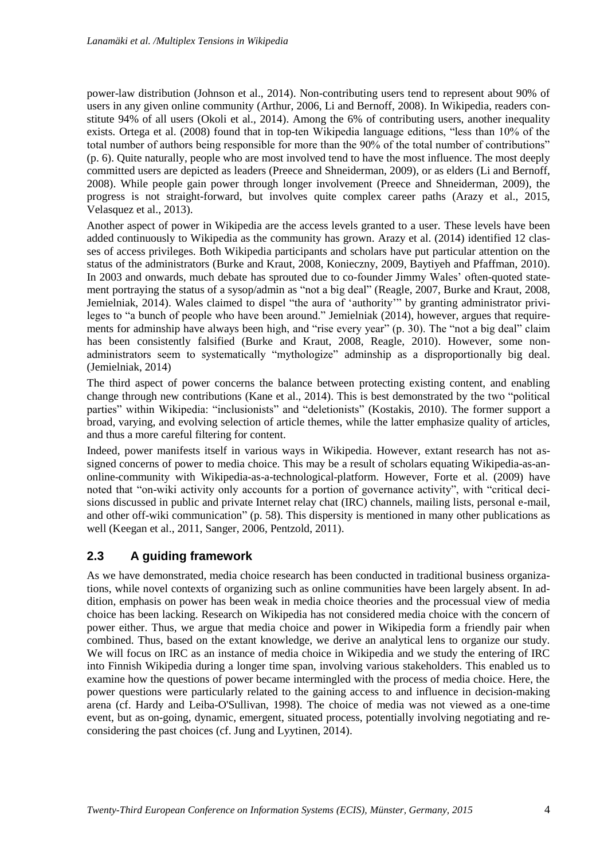power-law distribution (Johnson et al., 2014). Non-contributing users tend to represent about 90% of users in any given online community (Arthur, 2006, Li and Bernoff, 2008). In Wikipedia, readers constitute 94% of all users (Okoli et al., 2014). Among the 6% of contributing users, another inequality exists. Ortega et al. (2008) found that in top-ten Wikipedia language editions, "less than 10% of the total number of authors being responsible for more than the 90% of the total number of contributions" (p. 6). Quite naturally, people who are most involved tend to have the most influence. The most deeply committed users are depicted as leaders (Preece and Shneiderman, 2009), or as elders (Li and Bernoff, 2008). While people gain power through longer involvement (Preece and Shneiderman, 2009), the progress is not straight-forward, but involves quite complex career paths (Arazy et al., 2015, Velasquez et al., 2013).

Another aspect of power in Wikipedia are the access levels granted to a user. These levels have been added continuously to Wikipedia as the community has grown. Arazy et al. (2014) identified 12 classes of access privileges. Both Wikipedia participants and scholars have put particular attention on the status of the administrators (Burke and Kraut, 2008, Konieczny, 2009, Baytiyeh and Pfaffman, 2010). In 2003 and onwards, much debate has sprouted due to co-founder Jimmy Wales' often-quoted statement portraying the status of a sysop/admin as "not a big deal" (Reagle, 2007, Burke and Kraut, 2008, Jemielniak, 2014). Wales claimed to dispel "the aura of 'authority" by granting administrator privileges to "a bunch of people who have been around." Jemielniak (2014), however, argues that requirements for adminship have always been high, and "rise every year" (p. 30). The "not a big deal" claim has been consistently falsified (Burke and Kraut, 2008, Reagle, 2010). However, some nonadministrators seem to systematically "mythologize" adminship as a disproportionally big deal. (Jemielniak, 2014)

The third aspect of power concerns the balance between protecting existing content, and enabling change through new contributions (Kane et al., 2014). This is best demonstrated by the two "political parties" within Wikipedia: "inclusionists" and "deletionists" (Kostakis, 2010). The former support a broad, varying, and evolving selection of article themes, while the latter emphasize quality of articles, and thus a more careful filtering for content.

Indeed, power manifests itself in various ways in Wikipedia. However, extant research has not assigned concerns of power to media choice. This may be a result of scholars equating Wikipedia-as-anonline-community with Wikipedia-as-a-technological-platform. However, Forte et al. (2009) have noted that "on-wiki activity only accounts for a portion of governance activity", with "critical decisions discussed in public and private Internet relay chat (IRC) channels, mailing lists, personal e-mail, and other off-wiki communication" (p. 58). This dispersity is mentioned in many other publications as well (Keegan et al., 2011, Sanger, 2006, Pentzold, 2011).

#### **2.3 A guiding framework**

As we have demonstrated, media choice research has been conducted in traditional business organizations, while novel contexts of organizing such as online communities have been largely absent. In addition, emphasis on power has been weak in media choice theories and the processual view of media choice has been lacking. Research on Wikipedia has not considered media choice with the concern of power either. Thus, we argue that media choice and power in Wikipedia form a friendly pair when combined. Thus, based on the extant knowledge, we derive an analytical lens to organize our study. We will focus on IRC as an instance of media choice in Wikipedia and we study the entering of IRC into Finnish Wikipedia during a longer time span, involving various stakeholders. This enabled us to examine how the questions of power became intermingled with the process of media choice. Here, the power questions were particularly related to the gaining access to and influence in decision-making arena (cf. Hardy and Leiba-O'Sullivan, 1998). The choice of media was not viewed as a one-time event, but as on-going, dynamic, emergent, situated process, potentially involving negotiating and reconsidering the past choices (cf. Jung and Lyytinen, 2014).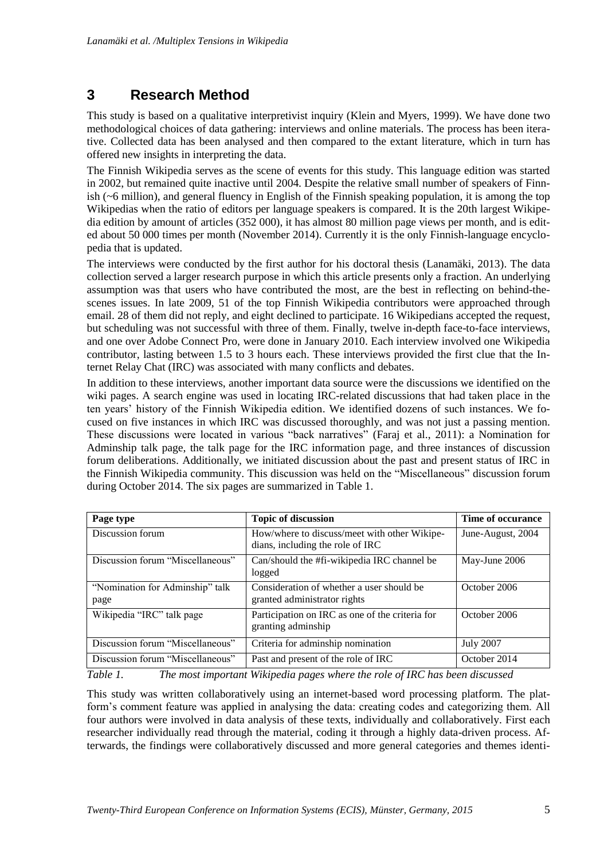# **3 Research Method**

This study is based on a qualitative interpretivist inquiry (Klein and Myers, 1999). We have done two methodological choices of data gathering: interviews and online materials. The process has been iterative. Collected data has been analysed and then compared to the extant literature, which in turn has offered new insights in interpreting the data.

The Finnish Wikipedia serves as the scene of events for this study. This language edition was started in 2002, but remained quite inactive until 2004. Despite the relative small number of speakers of Finnish (~6 million), and general fluency in English of the Finnish speaking population, it is among the top Wikipedias when the ratio of editors per language speakers is compared. It is the 20th largest Wikipedia edition by amount of articles (352 000), it has almost 80 million page views per month, and is edited about 50 000 times per month (November 2014). Currently it is the only Finnish-language encyclopedia that is updated.

The interviews were conducted by the first author for his doctoral thesis (Lanamäki, 2013). The data collection served a larger research purpose in which this article presents only a fraction. An underlying assumption was that users who have contributed the most, are the best in reflecting on behind-thescenes issues. In late 2009, 51 of the top Finnish Wikipedia contributors were approached through email. 28 of them did not reply, and eight declined to participate. 16 Wikipedians accepted the request, but scheduling was not successful with three of them. Finally, twelve in-depth face-to-face interviews, and one over Adobe Connect Pro, were done in January 2010. Each interview involved one Wikipedia contributor, lasting between 1.5 to 3 hours each. These interviews provided the first clue that the Internet Relay Chat (IRC) was associated with many conflicts and debates.

In addition to these interviews, another important data source were the discussions we identified on the wiki pages. A search engine was used in locating IRC-related discussions that had taken place in the ten years' history of the Finnish Wikipedia edition. We identified dozens of such instances. We focused on five instances in which IRC was discussed thoroughly, and was not just a passing mention. These discussions were located in various "back narratives" (Faraj et al., 2011): a Nomination for Adminship talk page, the talk page for the IRC information page, and three instances of discussion forum deliberations. Additionally, we initiated discussion about the past and present status of IRC in the Finnish Wikipedia community. This discussion was held on the "Miscellaneous" discussion forum during October 2014. The six pages are summarized in Table 1.

| Page type                               | <b>Topic of discussion</b>                                                       | Time of occurance |
|-----------------------------------------|----------------------------------------------------------------------------------|-------------------|
| Discussion forum                        | How/where to discuss/meet with other Wikipe-<br>dians, including the role of IRC | June-August, 2004 |
| Discussion forum "Miscellaneous"        | Can/should the #fi-wikipedia IRC channel be<br>logged                            | May-June 2006     |
| "Nomination for Adminship" talk<br>page | Consideration of whether a user should be<br>granted administrator rights        | October 2006      |
| Wikipedia "IRC" talk page               | Participation on IRC as one of the criteria for<br>granting adminship            | October 2006      |
| Discussion forum "Miscellaneous"        | Criteria for adminship nomination                                                | <b>July 2007</b>  |
| Discussion forum "Miscellaneous"        | Past and present of the role of IRC                                              | October 2014      |

*Table 1. The most important Wikipedia pages where the role of IRC has been discussed*

This study was written collaboratively using an internet-based word processing platform. The platform's comment feature was applied in analysing the data: creating codes and categorizing them. All four authors were involved in data analysis of these texts, individually and collaboratively. First each researcher individually read through the material, coding it through a highly data-driven process. Afterwards, the findings were collaboratively discussed and more general categories and themes identi-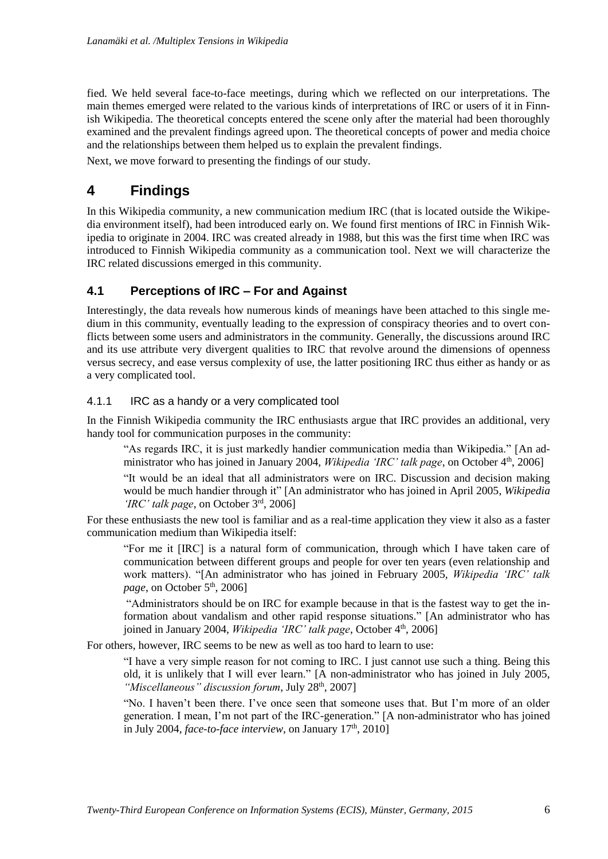fied. We held several face-to-face meetings, during which we reflected on our interpretations. The main themes emerged were related to the various kinds of interpretations of IRC or users of it in Finnish Wikipedia. The theoretical concepts entered the scene only after the material had been thoroughly examined and the prevalent findings agreed upon. The theoretical concepts of power and media choice and the relationships between them helped us to explain the prevalent findings.

Next, we move forward to presenting the findings of our study.

# **4 Findings**

In this Wikipedia community, a new communication medium IRC (that is located outside the Wikipedia environment itself), had been introduced early on. We found first mentions of IRC in Finnish Wikipedia to originate in 2004. IRC was created already in 1988, but this was the first time when IRC was introduced to Finnish Wikipedia community as a communication tool. Next we will characterize the IRC related discussions emerged in this community.

### **4.1 Perceptions of IRC – For and Against**

Interestingly, the data reveals how numerous kinds of meanings have been attached to this single medium in this community, eventually leading to the expression of conspiracy theories and to overt conflicts between some users and administrators in the community. Generally, the discussions around IRC and its use attribute very divergent qualities to IRC that revolve around the dimensions of openness versus secrecy, and ease versus complexity of use, the latter positioning IRC thus either as handy or as a very complicated tool.

#### 4.1.1 IRC as a handy or a very complicated tool

In the Finnish Wikipedia community the IRC enthusiasts argue that IRC provides an additional, very handy tool for communication purposes in the community:

"As regards IRC, it is just markedly handier communication media than Wikipedia." [An administrator who has joined in January 2004, *Wikipedia 'IRC' talk page*, on October 4<sup>th</sup>, 2006]

"It would be an ideal that all administrators were on IRC. Discussion and decision making would be much handier through it" [An administrator who has joined in April 2005, *Wikipedia 'IRC' talk page*, on October 3rd, 2006]

For these enthusiasts the new tool is familiar and as a real-time application they view it also as a faster communication medium than Wikipedia itself:

"For me it [IRC] is a natural form of communication, through which I have taken care of communication between different groups and people for over ten years (even relationship and work matters). "[An administrator who has joined in February 2005, *Wikipedia 'IRC' talk page*, on October  $5<sup>th</sup>$ , 2006]

"Administrators should be on IRC for example because in that is the fastest way to get the information about vandalism and other rapid response situations." [An administrator who has joined in January 2004, *Wikipedia 'IRC' talk page*, October 4<sup>th</sup>, 2006]

For others, however, IRC seems to be new as well as too hard to learn to use:

"I have a very simple reason for not coming to IRC. I just cannot use such a thing. Being this old, it is unlikely that I will ever learn." [A non-administrator who has joined in July 2005, *"Miscellaneous" discussion forum, July 28th, 2007]* 

"No. I haven't been there. I've once seen that someone uses that. But I'm more of an older generation. I mean, I'm not part of the IRC-generation." [A non-administrator who has joined in July 2004, *face-to-face interview*, on January  $17<sup>th</sup>$ , 2010]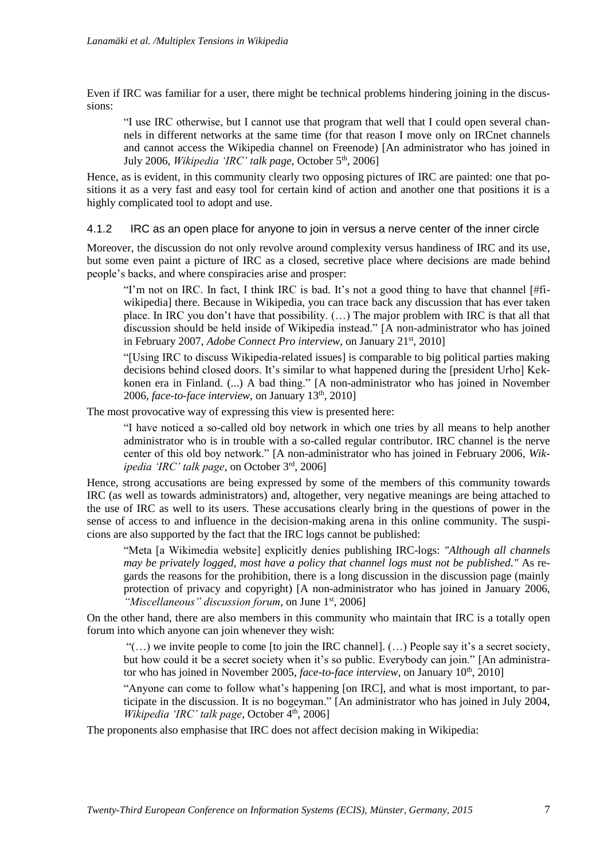Even if IRC was familiar for a user, there might be technical problems hindering joining in the discussions:

"I use IRC otherwise, but I cannot use that program that well that I could open several channels in different networks at the same time (for that reason I move only on IRCnet channels and cannot access the Wikipedia channel on Freenode) [An administrator who has joined in July 2006, *Wikipedia 'IRC' talk page*, October 5th, 2006]

Hence, as is evident, in this community clearly two opposing pictures of IRC are painted: one that positions it as a very fast and easy tool for certain kind of action and another one that positions it is a highly complicated tool to adopt and use.

4.1.2 IRC as an open place for anyone to join in versus a nerve center of the inner circle

Moreover, the discussion do not only revolve around complexity versus handiness of IRC and its use, but some even paint a picture of IRC as a closed, secretive place where decisions are made behind people's backs, and where conspiracies arise and prosper:

"I'm not on IRC. In fact, I think IRC is bad. It's not a good thing to have that channel  $\left[\frac{\text{H}}{\text{H}}\right]$ wikipedia] there. Because in Wikipedia, you can trace back any discussion that has ever taken place. In IRC you don't have that possibility. (…) The major problem with IRC is that all that discussion should be held inside of Wikipedia instead." [A non-administrator who has joined in February 2007, *Adobe Connect Pro interview*, on January 21<sup>st</sup>, 2010]

"[Using IRC to discuss Wikipedia-related issues] is comparable to big political parties making decisions behind closed doors. It's similar to what happened during the [president Urho] Kekkonen era in Finland. (...) A bad thing." [A non-administrator who has joined in November 2006, *face-to-face interview*, on January 13th, 2010]

The most provocative way of expressing this view is presented here:

"I have noticed a so-called old boy network in which one tries by all means to help another administrator who is in trouble with a so-called regular contributor. IRC channel is the nerve center of this old boy network." [A non-administrator who has joined in February 2006, *Wikipedia 'IRC' talk page*, on October 3rd, 2006]

Hence, strong accusations are being expressed by some of the members of this community towards IRC (as well as towards administrators) and, altogether, very negative meanings are being attached to the use of IRC as well to its users. These accusations clearly bring in the questions of power in the sense of access to and influence in the decision-making arena in this online community. The suspicions are also supported by the fact that the IRC logs cannot be published:

"Meta [a Wikimedia website] explicitly denies publishing IRC-logs: *"Although all channels may be privately logged, most have a policy that channel logs must not be published."* As regards the reasons for the prohibition, there is a long discussion in the discussion page (mainly protection of privacy and copyright) [A non-administrator who has joined in January 2006, *"Miscellaneous" discussion forum*, on June 1<sup>st</sup>, 2006]

On the other hand, there are also members in this community who maintain that IRC is a totally open forum into which anyone can join whenever they wish:

" $(...)$  we invite people to come [to join the IRC channel].  $(...)$  People say it's a secret society, but how could it be a secret society when it's so public. Everybody can join." [An administrator who has joined in November 2005, *face-to-face interview*, on January 10<sup>th</sup>, 2010]

"Anyone can come to follow what's happening [on IRC], and what is most important, to participate in the discussion. It is no bogeyman." [An administrator who has joined in July 2004, Wikipedia 'IRC' talk page, October 4<sup>th</sup>, 2006]

The proponents also emphasise that IRC does not affect decision making in Wikipedia: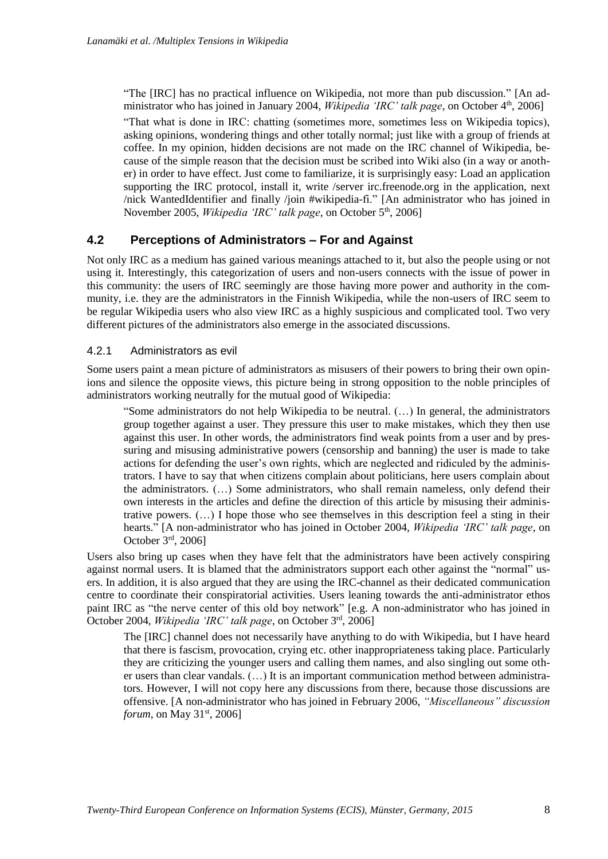"The [IRC] has no practical influence on Wikipedia, not more than pub discussion." [An administrator who has joined in January 2004, *Wikipedia 'IRC' talk page*, on October 4th, 2006]

"That what is done in IRC: chatting (sometimes more, sometimes less on Wikipedia topics), asking opinions, wondering things and other totally normal; just like with a group of friends at coffee. In my opinion, hidden decisions are not made on the IRC channel of Wikipedia, because of the simple reason that the decision must be scribed into Wiki also (in a way or another) in order to have effect. Just come to familiarize, it is surprisingly easy: Load an application supporting the IRC protocol, install it, write /server irc.freenode.org in the application, next /nick WantedIdentifier and finally /join #wikipedia-fi." [An administrator who has joined in November 2005, *Wikipedia 'IRC' talk page*, on October 5<sup>th</sup>, 2006]

#### **4.2 Perceptions of Administrators – For and Against**

Not only IRC as a medium has gained various meanings attached to it, but also the people using or not using it. Interestingly, this categorization of users and non-users connects with the issue of power in this community: the users of IRC seemingly are those having more power and authority in the community, i.e. they are the administrators in the Finnish Wikipedia, while the non-users of IRC seem to be regular Wikipedia users who also view IRC as a highly suspicious and complicated tool. Two very different pictures of the administrators also emerge in the associated discussions.

#### 4.2.1 Administrators as evil

Some users paint a mean picture of administrators as misusers of their powers to bring their own opinions and silence the opposite views, this picture being in strong opposition to the noble principles of administrators working neutrally for the mutual good of Wikipedia:

"Some administrators do not help Wikipedia to be neutral. (…) In general, the administrators group together against a user. They pressure this user to make mistakes, which they then use against this user. In other words, the administrators find weak points from a user and by pressuring and misusing administrative powers (censorship and banning) the user is made to take actions for defending the user's own rights, which are neglected and ridiculed by the administrators. I have to say that when citizens complain about politicians, here users complain about the administrators. (…) Some administrators, who shall remain nameless, only defend their own interests in the articles and define the direction of this article by misusing their administrative powers.  $(...)$  I hope those who see themselves in this description feel a sting in their hearts." [A non-administrator who has joined in October 2004, *Wikipedia 'IRC' talk page*, on October 3rd, 2006]

Users also bring up cases when they have felt that the administrators have been actively conspiring against normal users. It is blamed that the administrators support each other against the "normal" users. In addition, it is also argued that they are using the IRC-channel as their dedicated communication centre to coordinate their conspiratorial activities. Users leaning towards the anti-administrator ethos paint IRC as "the nerve center of this old boy network" [e.g. A non-administrator who has joined in October 2004, *Wikipedia 'IRC' talk page*, on October 3rd, 2006]

The [IRC] channel does not necessarily have anything to do with Wikipedia, but I have heard that there is fascism, provocation, crying etc. other inappropriateness taking place. Particularly they are criticizing the younger users and calling them names, and also singling out some other users than clear vandals. (…) It is an important communication method between administrators. However, I will not copy here any discussions from there, because those discussions are offensive. [A non-administrator who has joined in February 2006, *"Miscellaneous" discussion forum*, on May 31<sup>st</sup>, 2006]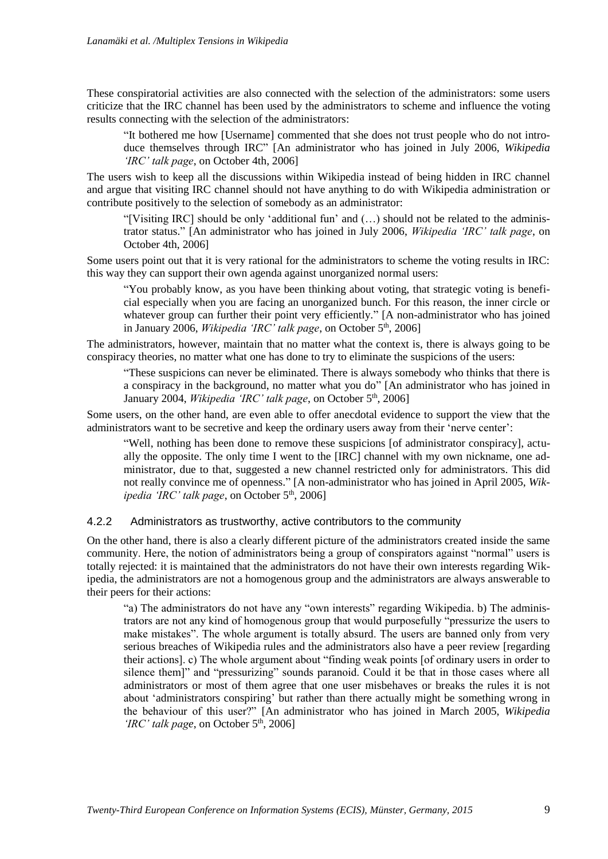These conspiratorial activities are also connected with the selection of the administrators: some users criticize that the IRC channel has been used by the administrators to scheme and influence the voting results connecting with the selection of the administrators:

"It bothered me how [Username] commented that she does not trust people who do not introduce themselves through IRC" [An administrator who has joined in July 2006, *Wikipedia 'IRC' talk page*, on October 4th, 2006]

The users wish to keep all the discussions within Wikipedia instead of being hidden in IRC channel and argue that visiting IRC channel should not have anything to do with Wikipedia administration or contribute positively to the selection of somebody as an administrator:

"[Visiting IRC] should be only 'additional fun' and (…) should not be related to the administrator status." [An administrator who has joined in July 2006, *Wikipedia 'IRC' talk page*, on October 4th, 2006]

Some users point out that it is very rational for the administrators to scheme the voting results in IRC: this way they can support their own agenda against unorganized normal users:

"You probably know, as you have been thinking about voting, that strategic voting is beneficial especially when you are facing an unorganized bunch. For this reason, the inner circle or whatever group can further their point very efficiently." [A non-administrator who has joined in January 2006, *Wikipedia 'IRC' talk page*, on October 5<sup>th</sup>, 2006]

The administrators, however, maintain that no matter what the context is, there is always going to be conspiracy theories, no matter what one has done to try to eliminate the suspicions of the users:

"These suspicions can never be eliminated. There is always somebody who thinks that there is a conspiracy in the background, no matter what you do" [An administrator who has joined in January 2004, *Wikipedia 'IRC' talk page*, on October 5<sup>th</sup>, 2006]

Some users, on the other hand, are even able to offer anecdotal evidence to support the view that the administrators want to be secretive and keep the ordinary users away from their 'nerve center':

"Well, nothing has been done to remove these suspicions [of administrator conspiracy], actually the opposite. The only time I went to the [IRC] channel with my own nickname, one administrator, due to that, suggested a new channel restricted only for administrators. This did not really convince me of openness." [A non-administrator who has joined in April 2005, *Wikipedia 'IRC' talk page*, on October 5<sup>th</sup>, 2006]

#### 4.2.2 Administrators as trustworthy, active contributors to the community

On the other hand, there is also a clearly different picture of the administrators created inside the same community. Here, the notion of administrators being a group of conspirators against "normal" users is totally rejected: it is maintained that the administrators do not have their own interests regarding Wikipedia, the administrators are not a homogenous group and the administrators are always answerable to their peers for their actions:

"a) The administrators do not have any "own interests" regarding Wikipedia. b) The administrators are not any kind of homogenous group that would purposefully "pressurize the users to make mistakes". The whole argument is totally absurd. The users are banned only from very serious breaches of Wikipedia rules and the administrators also have a peer review [regarding their actions]. c) The whole argument about "finding weak points [of ordinary users in order to silence them]" and "pressurizing" sounds paranoid. Could it be that in those cases where all administrators or most of them agree that one user misbehaves or breaks the rules it is not about 'administrators conspiring' but rather than there actually might be something wrong in the behaviour of this user?" [An administrator who has joined in March 2005, *Wikipedia 'IRC' talk page*, on October 5<sup>th</sup>, 2006]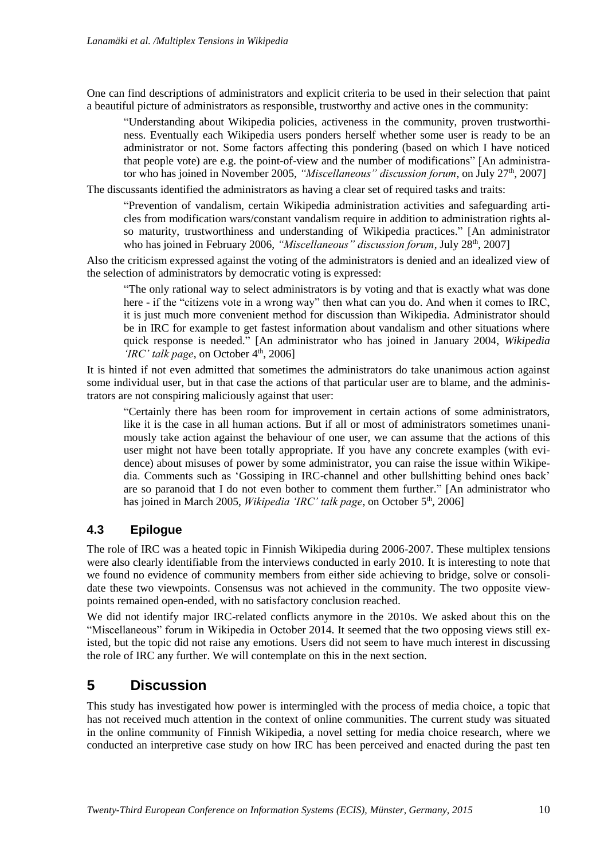One can find descriptions of administrators and explicit criteria to be used in their selection that paint a beautiful picture of administrators as responsible, trustworthy and active ones in the community:

"Understanding about Wikipedia policies, activeness in the community, proven trustworthiness. Eventually each Wikipedia users ponders herself whether some user is ready to be an administrator or not. Some factors affecting this pondering (based on which I have noticed that people vote) are e.g. the point-of-view and the number of modifications" [An administrator who has joined in November 2005, "Miscellaneous" discussion forum, on July 27<sup>th</sup>, 2007]

The discussants identified the administrators as having a clear set of required tasks and traits:

"Prevention of vandalism, certain Wikipedia administration activities and safeguarding articles from modification wars/constant vandalism require in addition to administration rights also maturity, trustworthiness and understanding of Wikipedia practices." [An administrator who has joined in February 2006, *"Miscellaneous" discussion forum*, July 28<sup>th</sup>, 2007]

Also the criticism expressed against the voting of the administrators is denied and an idealized view of the selection of administrators by democratic voting is expressed:

"The only rational way to select administrators is by voting and that is exactly what was done here - if the "citizens vote in a wrong way" then what can you do. And when it comes to IRC, it is just much more convenient method for discussion than Wikipedia. Administrator should be in IRC for example to get fastest information about vandalism and other situations where quick response is needed." [An administrator who has joined in January 2004, *Wikipedia*   $$ 

It is hinted if not even admitted that sometimes the administrators do take unanimous action against some individual user, but in that case the actions of that particular user are to blame, and the administrators are not conspiring maliciously against that user:

"Certainly there has been room for improvement in certain actions of some administrators, like it is the case in all human actions. But if all or most of administrators sometimes unanimously take action against the behaviour of one user, we can assume that the actions of this user might not have been totally appropriate. If you have any concrete examples (with evidence) about misuses of power by some administrator, you can raise the issue within Wikipedia. Comments such as 'Gossiping in IRC-channel and other bullshitting behind ones back' are so paranoid that I do not even bother to comment them further." [An administrator who has joined in March 2005, *Wikipedia 'IRC' talk page*, on October 5<sup>th</sup>, 2006]

### **4.3 Epilogue**

The role of IRC was a heated topic in Finnish Wikipedia during 2006-2007. These multiplex tensions were also clearly identifiable from the interviews conducted in early 2010. It is interesting to note that we found no evidence of community members from either side achieving to bridge, solve or consolidate these two viewpoints. Consensus was not achieved in the community. The two opposite viewpoints remained open-ended, with no satisfactory conclusion reached.

We did not identify major IRC-related conflicts anymore in the 2010s. We asked about this on the "Miscellaneous" forum in Wikipedia in October 2014. It seemed that the two opposing views still existed, but the topic did not raise any emotions. Users did not seem to have much interest in discussing the role of IRC any further. We will contemplate on this in the next section.

## **5 Discussion**

This study has investigated how power is intermingled with the process of media choice, a topic that has not received much attention in the context of online communities. The current study was situated in the online community of Finnish Wikipedia, a novel setting for media choice research, where we conducted an interpretive case study on how IRC has been perceived and enacted during the past ten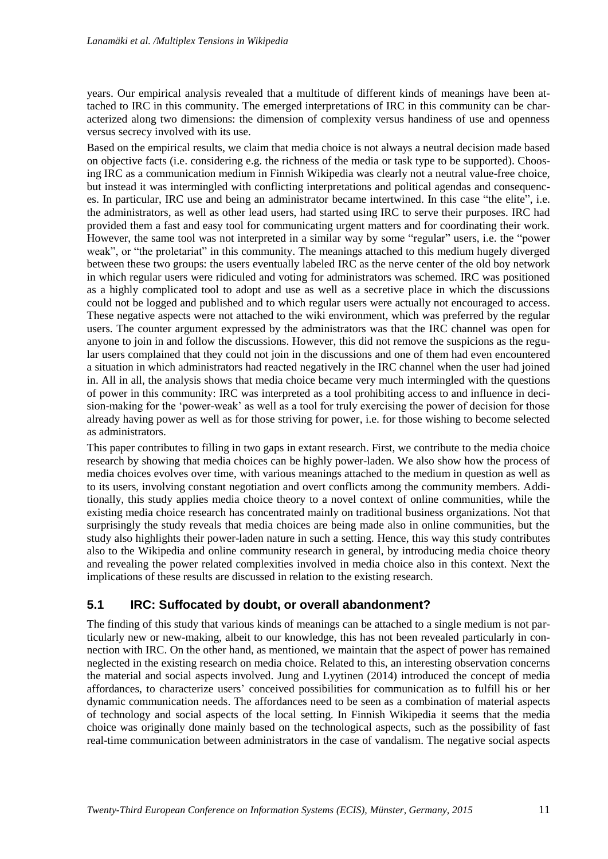years. Our empirical analysis revealed that a multitude of different kinds of meanings have been attached to IRC in this community. The emerged interpretations of IRC in this community can be characterized along two dimensions: the dimension of complexity versus handiness of use and openness versus secrecy involved with its use.

Based on the empirical results, we claim that media choice is not always a neutral decision made based on objective facts (i.e. considering e.g. the richness of the media or task type to be supported). Choosing IRC as a communication medium in Finnish Wikipedia was clearly not a neutral value-free choice, but instead it was intermingled with conflicting interpretations and political agendas and consequences. In particular, IRC use and being an administrator became intertwined. In this case "the elite", i.e. the administrators, as well as other lead users, had started using IRC to serve their purposes. IRC had provided them a fast and easy tool for communicating urgent matters and for coordinating their work. However, the same tool was not interpreted in a similar way by some "regular" users, i.e. the "power weak", or "the proletariat" in this community. The meanings attached to this medium hugely diverged between these two groups: the users eventually labeled IRC as the nerve center of the old boy network in which regular users were ridiculed and voting for administrators was schemed. IRC was positioned as a highly complicated tool to adopt and use as well as a secretive place in which the discussions could not be logged and published and to which regular users were actually not encouraged to access. These negative aspects were not attached to the wiki environment, which was preferred by the regular users. The counter argument expressed by the administrators was that the IRC channel was open for anyone to join in and follow the discussions. However, this did not remove the suspicions as the regular users complained that they could not join in the discussions and one of them had even encountered a situation in which administrators had reacted negatively in the IRC channel when the user had joined in. All in all, the analysis shows that media choice became very much intermingled with the questions of power in this community: IRC was interpreted as a tool prohibiting access to and influence in decision-making for the 'power-weak' as well as a tool for truly exercising the power of decision for those already having power as well as for those striving for power, i.e. for those wishing to become selected as administrators.

This paper contributes to filling in two gaps in extant research. First, we contribute to the media choice research by showing that media choices can be highly power-laden. We also show how the process of media choices evolves over time, with various meanings attached to the medium in question as well as to its users, involving constant negotiation and overt conflicts among the community members. Additionally, this study applies media choice theory to a novel context of online communities, while the existing media choice research has concentrated mainly on traditional business organizations. Not that surprisingly the study reveals that media choices are being made also in online communities, but the study also highlights their power-laden nature in such a setting. Hence, this way this study contributes also to the Wikipedia and online community research in general, by introducing media choice theory and revealing the power related complexities involved in media choice also in this context. Next the implications of these results are discussed in relation to the existing research.

### **5.1 IRC: Suffocated by doubt, or overall abandonment?**

The finding of this study that various kinds of meanings can be attached to a single medium is not particularly new or new-making, albeit to our knowledge, this has not been revealed particularly in connection with IRC. On the other hand, as mentioned, we maintain that the aspect of power has remained neglected in the existing research on media choice. Related to this, an interesting observation concerns the material and social aspects involved. Jung and Lyytinen (2014) introduced the concept of media affordances, to characterize users' conceived possibilities for communication as to fulfill his or her dynamic communication needs. The affordances need to be seen as a combination of material aspects of technology and social aspects of the local setting. In Finnish Wikipedia it seems that the media choice was originally done mainly based on the technological aspects, such as the possibility of fast real-time communication between administrators in the case of vandalism. The negative social aspects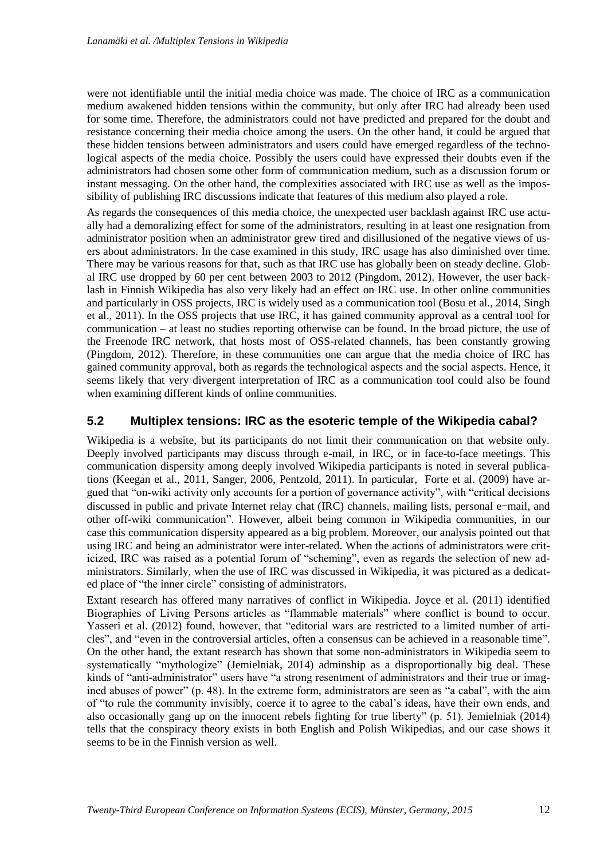were not identifiable until the initial media choice was made. The choice of IRC as a communication medium awakened hidden tensions within the community, but only after IRC had already been used for some time. Therefore, the administrators could not have predicted and prepared for the doubt and resistance concerning their media choice among the users. On the other hand, it could be argued that these hidden tensions between administrators and users could have emerged regardless of the technological aspects of the media choice. Possibly the users could have expressed their doubts even if the administrators had chosen some other form of communication medium, such as a discussion forum or instant messaging. On the other hand, the complexities associated with IRC use as well as the impossibility of publishing IRC discussions indicate that features of this medium also played a role.

As regards the consequences of this media choice, the unexpected user backlash against IRC use actually had a demoralizing effect for some of the administrators, resulting in at least one resignation from administrator position when an administrator grew tired and disillusioned of the negative views of users about administrators. In the case examined in this study, IRC usage has also diminished over time. There may be various reasons for that, such as that IRC use has globally been on steady decline. Global IRC use dropped by 60 per cent between 2003 to 2012 (Pingdom, 2012). However, the user backlash in Finnish Wikipedia has also very likely had an effect on IRC use. In other online communities and particularly in OSS projects, IRC is widely used as a communication tool (Bosu et al., 2014, Singh et al., 2011). In the OSS projects that use IRC, it has gained community approval as a central tool for communication – at least no studies reporting otherwise can be found. In the broad picture, the use of the Freenode IRC network, that hosts most of OSS-related channels, has been constantly growing (Pingdom, 2012). Therefore, in these communities one can argue that the media choice of IRC has gained community approval, both as regards the technological aspects and the social aspects. Hence, it seems likely that very divergent interpretation of IRC as a communication tool could also be found when examining different kinds of online communities.

#### **5.2 Multiplex tensions: IRC as the esoteric temple of the Wikipedia cabal?**

Wikipedia is a website, but its participants do not limit their communication on that website only. Deeply involved participants may discuss through e-mail, in IRC, or in face-to-face meetings. This communication dispersity among deeply involved Wikipedia participants is noted in several publications (Keegan et al., 2011, Sanger, 2006, Pentzold, 2011). In particular, Forte et al. (2009) have argued that "on-wiki activity only accounts for a portion of governance activity", with "critical decisions discussed in public and private Internet relay chat (IRC) channels, mailing lists, personal e-mail, and other off-wiki communication". However, albeit being common in Wikipedia communities, in our case this communication dispersity appeared as a big problem. Moreover, our analysis pointed out that using IRC and being an administrator were inter-related. When the actions of administrators were criticized, IRC was raised as a potential forum of "scheming", even as regards the selection of new administrators. Similarly, when the use of IRC was discussed in Wikipedia, it was pictured as a dedicated place of "the inner circle" consisting of administrators.

Extant research has offered many narratives of conflict in Wikipedia. Joyce et al. (2011) identified Biographies of Living Persons articles as "flammable materials" where conflict is bound to occur. Yasseri et al. (2012) found, however, that "editorial wars are restricted to a limited number of articles", and "even in the controversial articles, often a consensus can be achieved in a reasonable time". On the other hand, the extant research has shown that some non-administrators in Wikipedia seem to systematically "mythologize" (Jemielniak, 2014) adminship as a disproportionally big deal. These kinds of "anti-administrator" users have "a strong resentment of administrators and their true or imagined abuses of power" (p. 48). In the extreme form, administrators are seen as "a cabal", with the aim of "to rule the community invisibly, coerce it to agree to the cabal's ideas, have their own ends, and also occasionally gang up on the innocent rebels fighting for true liberty" (p. 51). Jemielniak (2014) tells that the conspiracy theory exists in both English and Polish Wikipedias, and our case shows it seems to be in the Finnish version as well.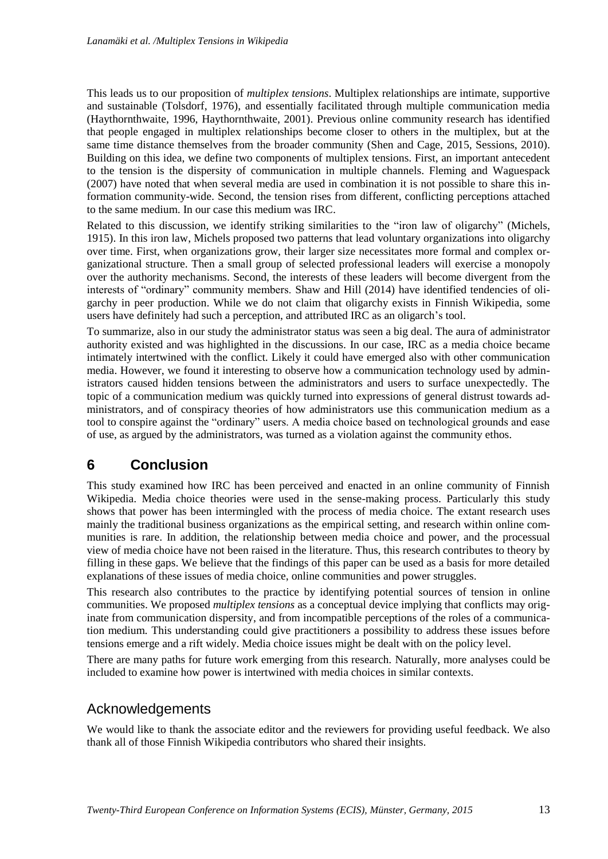This leads us to our proposition of *multiplex tensions*. Multiplex relationships are intimate, supportive and sustainable (Tolsdorf, 1976), and essentially facilitated through multiple communication media (Haythornthwaite, 1996, Haythornthwaite, 2001). Previous online community research has identified that people engaged in multiplex relationships become closer to others in the multiplex, but at the same time distance themselves from the broader community (Shen and Cage, 2015, Sessions, 2010). Building on this idea, we define two components of multiplex tensions. First, an important antecedent to the tension is the dispersity of communication in multiple channels. Fleming and Waguespack (2007) have noted that when several media are used in combination it is not possible to share this information community-wide. Second, the tension rises from different, conflicting perceptions attached to the same medium. In our case this medium was IRC.

Related to this discussion, we identify striking similarities to the "iron law of oligarchy" (Michels, 1915). In this iron law, Michels proposed two patterns that lead voluntary organizations into oligarchy over time. First, when organizations grow, their larger size necessitates more formal and complex organizational structure. Then a small group of selected professional leaders will exercise a monopoly over the authority mechanisms. Second, the interests of these leaders will become divergent from the interests of "ordinary" community members. Shaw and Hill (2014) have identified tendencies of oligarchy in peer production. While we do not claim that oligarchy exists in Finnish Wikipedia, some users have definitely had such a perception, and attributed IRC as an oligarch's tool.

To summarize, also in our study the administrator status was seen a big deal. The aura of administrator authority existed and was highlighted in the discussions. In our case, IRC as a media choice became intimately intertwined with the conflict. Likely it could have emerged also with other communication media. However, we found it interesting to observe how a communication technology used by administrators caused hidden tensions between the administrators and users to surface unexpectedly. The topic of a communication medium was quickly turned into expressions of general distrust towards administrators, and of conspiracy theories of how administrators use this communication medium as a tool to conspire against the "ordinary" users. A media choice based on technological grounds and ease of use, as argued by the administrators, was turned as a violation against the community ethos.

# **6 Conclusion**

This study examined how IRC has been perceived and enacted in an online community of Finnish Wikipedia. Media choice theories were used in the sense-making process. Particularly this study shows that power has been intermingled with the process of media choice. The extant research uses mainly the traditional business organizations as the empirical setting, and research within online communities is rare. In addition, the relationship between media choice and power, and the processual view of media choice have not been raised in the literature. Thus, this research contributes to theory by filling in these gaps. We believe that the findings of this paper can be used as a basis for more detailed explanations of these issues of media choice, online communities and power struggles.

This research also contributes to the practice by identifying potential sources of tension in online communities. We proposed *multiplex tensions* as a conceptual device implying that conflicts may originate from communication dispersity, and from incompatible perceptions of the roles of a communication medium. This understanding could give practitioners a possibility to address these issues before tensions emerge and a rift widely. Media choice issues might be dealt with on the policy level.

There are many paths for future work emerging from this research. Naturally, more analyses could be included to examine how power is intertwined with media choices in similar contexts.

## Acknowledgements

We would like to thank the associate editor and the reviewers for providing useful feedback. We also thank all of those Finnish Wikipedia contributors who shared their insights.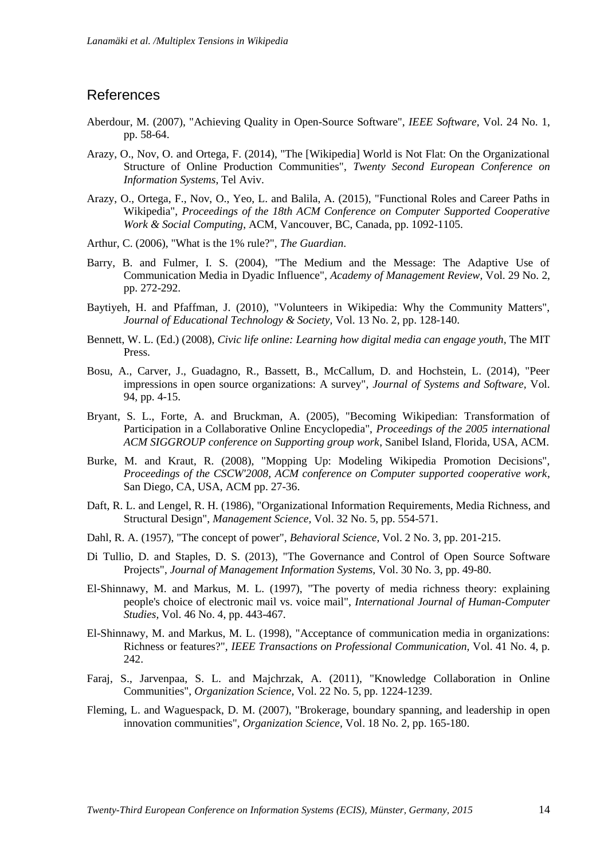### **References**

- Aberdour, M. (2007), "Achieving Quality in Open-Source Software", *IEEE Software,* Vol. 24 No. 1, pp. 58-64.
- Arazy, O., Nov, O. and Ortega, F. (2014), "The [Wikipedia] World is Not Flat: On the Organizational Structure of Online Production Communities", *Twenty Second European Conference on Information Systems*, Tel Aviv.
- Arazy, O., Ortega, F., Nov, O., Yeo, L. and Balila, A. (2015), "Functional Roles and Career Paths in Wikipedia", *Proceedings of the 18th ACM Conference on Computer Supported Cooperative Work & Social Computing*, ACM, Vancouver, BC, Canada, pp. 1092-1105.
- Arthur, C. (2006), "What is the 1% rule?", *The Guardian*.
- Barry, B. and Fulmer, I. S. (2004), "The Medium and the Message: The Adaptive Use of Communication Media in Dyadic Influence", *Academy of Management Review,* Vol. 29 No. 2, pp. 272-292.
- Baytiyeh, H. and Pfaffman, J. (2010), "Volunteers in Wikipedia: Why the Community Matters", *Journal of Educational Technology & Society,* Vol. 13 No. 2, pp. 128-140.
- Bennett, W. L. (Ed.) (2008), *Civic life online: Learning how digital media can engage youth*, The MIT Press.
- Bosu, A., Carver, J., Guadagno, R., Bassett, B., McCallum, D. and Hochstein, L. (2014), "Peer impressions in open source organizations: A survey", *Journal of Systems and Software,* Vol. 94, pp. 4-15.
- Bryant, S. L., Forte, A. and Bruckman, A. (2005), "Becoming Wikipedian: Transformation of Participation in a Collaborative Online Encyclopedia", *Proceedings of the 2005 international ACM SIGGROUP conference on Supporting group work*, Sanibel Island, Florida, USA, ACM.
- Burke, M. and Kraut, R. (2008), "Mopping Up: Modeling Wikipedia Promotion Decisions", *Proceedings of the CSCW'2008, ACM conference on Computer supported cooperative work*, San Diego, CA, USA, ACM pp. 27-36.
- Daft, R. L. and Lengel, R. H. (1986), "Organizational Information Requirements, Media Richness, and Structural Design", *Management Science,* Vol. 32 No. 5, pp. 554-571.
- Dahl, R. A. (1957), "The concept of power", *Behavioral Science,* Vol. 2 No. 3, pp. 201-215.
- Di Tullio, D. and Staples, D. S. (2013), "The Governance and Control of Open Source Software Projects", *Journal of Management Information Systems,* Vol. 30 No. 3, pp. 49-80.
- El-Shinnawy, M. and Markus, M. L. (1997), "The poverty of media richness theory: explaining people's choice of electronic mail vs. voice mail", *International Journal of Human-Computer Studies,* Vol. 46 No. 4, pp. 443-467.
- El-Shinnawy, M. and Markus, M. L. (1998), "Acceptance of communication media in organizations: Richness or features?", *IEEE Transactions on Professional Communication,* Vol. 41 No. 4, p. 242.
- Faraj, S., Jarvenpaa, S. L. and Majchrzak, A. (2011), "Knowledge Collaboration in Online Communities", *Organization Science,* Vol. 22 No. 5, pp. 1224-1239.
- Fleming, L. and Waguespack, D. M. (2007), "Brokerage, boundary spanning, and leadership in open innovation communities", *Organization Science,* Vol. 18 No. 2, pp. 165-180.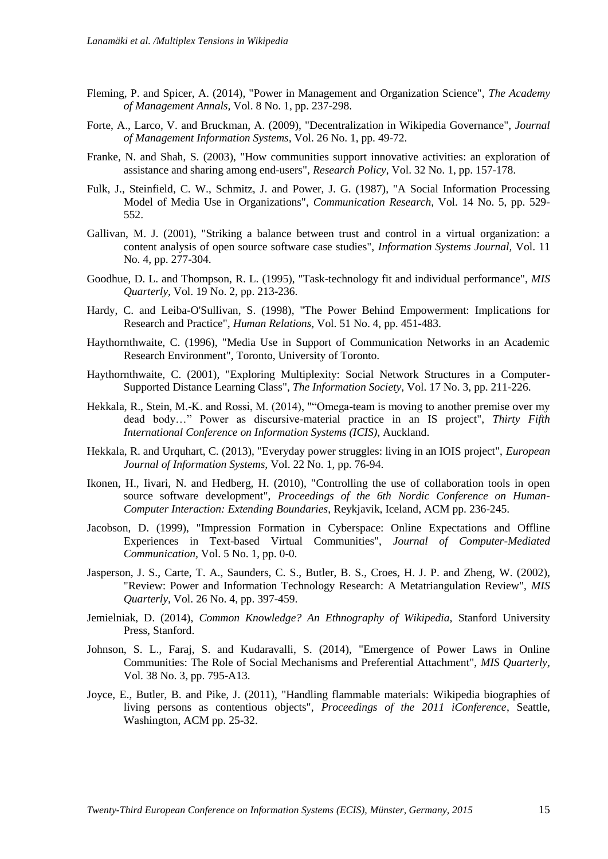- Fleming, P. and Spicer, A. (2014), "Power in Management and Organization Science", *The Academy of Management Annals,* Vol. 8 No. 1, pp. 237-298.
- Forte, A., Larco, V. and Bruckman, A. (2009), "Decentralization in Wikipedia Governance", *Journal of Management Information Systems,* Vol. 26 No. 1, pp. 49-72.
- Franke, N. and Shah, S. (2003), "How communities support innovative activities: an exploration of assistance and sharing among end-users", *Research Policy,* Vol. 32 No. 1, pp. 157-178.
- Fulk, J., Steinfield, C. W., Schmitz, J. and Power, J. G. (1987), "A Social Information Processing Model of Media Use in Organizations", *Communication Research,* Vol. 14 No. 5, pp. 529- 552.
- Gallivan, M. J. (2001), "Striking a balance between trust and control in a virtual organization: a content analysis of open source software case studies", *Information Systems Journal,* Vol. 11 No. 4, pp. 277-304.
- Goodhue, D. L. and Thompson, R. L. (1995), "Task-technology fit and individual performance", *MIS Quarterly,* Vol. 19 No. 2, pp. 213-236.
- Hardy, C. and Leiba-O'Sullivan, S. (1998), "The Power Behind Empowerment: Implications for Research and Practice", *Human Relations,* Vol. 51 No. 4, pp. 451-483.
- Haythornthwaite, C. (1996), "Media Use in Support of Communication Networks in an Academic Research Environment", Toronto, University of Toronto.
- Haythornthwaite, C. (2001), "Exploring Multiplexity: Social Network Structures in a Computer-Supported Distance Learning Class", *The Information Society,* Vol. 17 No. 3, pp. 211-226.
- Hekkala, R., Stein, M.-K. and Rossi, M. (2014), ""Omega-team is moving to another premise over my dead body…" Power as discursive-material practice in an IS project", *Thirty Fifth International Conference on Information Systems (ICIS)*, Auckland.
- Hekkala, R. and Urquhart, C. (2013), "Everyday power struggles: living in an IOIS project", *European Journal of Information Systems,* Vol. 22 No. 1, pp. 76-94.
- Ikonen, H., Iivari, N. and Hedberg, H. (2010), "Controlling the use of collaboration tools in open source software development", *Proceedings of the 6th Nordic Conference on Human-Computer Interaction: Extending Boundaries*, Reykjavik, Iceland, ACM pp. 236-245.
- Jacobson, D. (1999), "Impression Formation in Cyberspace: Online Expectations and Offline Experiences in Text-based Virtual Communities", *Journal of Computer-Mediated Communication,* Vol. 5 No. 1, pp. 0-0.
- Jasperson, J. S., Carte, T. A., Saunders, C. S., Butler, B. S., Croes, H. J. P. and Zheng, W. (2002), "Review: Power and Information Technology Research: A Metatriangulation Review", *MIS Quarterly,* Vol. 26 No. 4, pp. 397-459.
- Jemielniak, D. (2014), *Common Knowledge? An Ethnography of Wikipedia,* Stanford University Press, Stanford.
- Johnson, S. L., Faraj, S. and Kudaravalli, S. (2014), "Emergence of Power Laws in Online Communities: The Role of Social Mechanisms and Preferential Attachment", *MIS Quarterly,* Vol. 38 No. 3, pp. 795-A13.
- Joyce, E., Butler, B. and Pike, J. (2011), "Handling flammable materials: Wikipedia biographies of living persons as contentious objects", *Proceedings of the 2011 iConference*, Seattle, Washington, ACM pp. 25-32.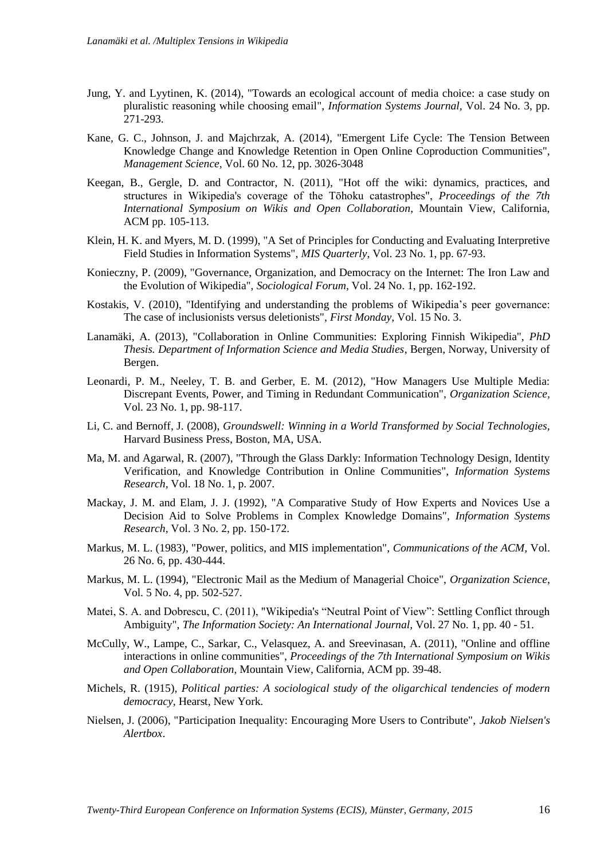- Jung, Y. and Lyytinen, K. (2014), "Towards an ecological account of media choice: a case study on pluralistic reasoning while choosing email", *Information Systems Journal,* Vol. 24 No. 3, pp. 271-293.
- Kane, G. C., Johnson, J. and Majchrzak, A. (2014), "Emergent Life Cycle: The Tension Between Knowledge Change and Knowledge Retention in Open Online Coproduction Communities", *Management Science,* Vol. 60 No. 12, pp. 3026-3048
- Keegan, B., Gergle, D. and Contractor, N. (2011), "Hot off the wiki: dynamics, practices, and structures in Wikipedia's coverage of the Tōhoku catastrophes", *Proceedings of the 7th International Symposium on Wikis and Open Collaboration*, Mountain View, California, ACM pp. 105-113.
- Klein, H. K. and Myers, M. D. (1999), "A Set of Principles for Conducting and Evaluating Interpretive Field Studies in Information Systems", *MIS Quarterly,* Vol. 23 No. 1, pp. 67-93.
- Konieczny, P. (2009), "Governance, Organization, and Democracy on the Internet: The Iron Law and the Evolution of Wikipedia", *Sociological Forum,* Vol. 24 No. 1, pp. 162-192.
- Kostakis, V. (2010), "Identifying and understanding the problems of Wikipedia's peer governance: The case of inclusionists versus deletionists", *First Monday,* Vol. 15 No. 3.
- Lanamäki, A. (2013), "Collaboration in Online Communities: Exploring Finnish Wikipedia", *PhD Thesis. Department of Information Science and Media Studies*, Bergen, Norway, University of Bergen.
- Leonardi, P. M., Neeley, T. B. and Gerber, E. M. (2012), "How Managers Use Multiple Media: Discrepant Events, Power, and Timing in Redundant Communication", *Organization Science,* Vol. 23 No. 1, pp. 98-117.
- Li, C. and Bernoff, J. (2008), *Groundswell: Winning in a World Transformed by Social Technologies,*  Harvard Business Press, Boston, MA, USA.
- Ma, M. and Agarwal, R. (2007), "Through the Glass Darkly: Information Technology Design, Identity Verification, and Knowledge Contribution in Online Communities", *Information Systems Research,* Vol. 18 No. 1, p. 2007.
- Mackay, J. M. and Elam, J. J. (1992), "A Comparative Study of How Experts and Novices Use a Decision Aid to Solve Problems in Complex Knowledge Domains", *Information Systems Research,* Vol. 3 No. 2, pp. 150-172.
- Markus, M. L. (1983), "Power, politics, and MIS implementation", *Communications of the ACM,* Vol. 26 No. 6, pp. 430-444.
- Markus, M. L. (1994), "Electronic Mail as the Medium of Managerial Choice", *Organization Science,* Vol. 5 No. 4, pp. 502-527.
- Matei, S. A. and Dobrescu, C. (2011), "Wikipedia's "Neutral Point of View": Settling Conflict through Ambiguity", *The Information Society: An International Journal,* Vol. 27 No. 1, pp. 40 - 51.
- McCully, W., Lampe, C., Sarkar, C., Velasquez, A. and Sreevinasan, A. (2011), "Online and offline interactions in online communities", *Proceedings of the 7th International Symposium on Wikis and Open Collaboration*, Mountain View, California, ACM pp. 39-48.
- Michels, R. (1915), *Political parties: A sociological study of the oligarchical tendencies of modern democracy,* Hearst, New York.
- Nielsen, J. (2006), "Participation Inequality: Encouraging More Users to Contribute", *Jakob Nielsen's Alertbox*.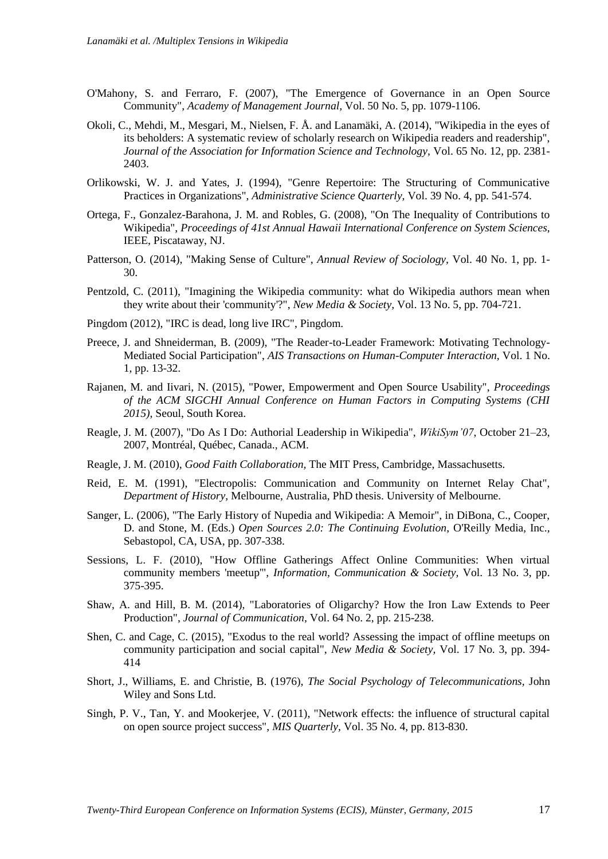- O'Mahony, S. and Ferraro, F. (2007), "The Emergence of Governance in an Open Source Community", *Academy of Management Journal,* Vol. 50 No. 5, pp. 1079-1106.
- Okoli, C., Mehdi, M., Mesgari, M., Nielsen, F. Å. and Lanamäki, A. (2014), "Wikipedia in the eyes of its beholders: A systematic review of scholarly research on Wikipedia readers and readership", *Journal of the Association for Information Science and Technology,* Vol. 65 No. 12, pp. 2381- 2403.
- Orlikowski, W. J. and Yates, J. (1994), "Genre Repertoire: The Structuring of Communicative Practices in Organizations", *Administrative Science Quarterly,* Vol. 39 No. 4, pp. 541-574.
- Ortega, F., Gonzalez-Barahona, J. M. and Robles, G. (2008), "On The Inequality of Contributions to Wikipedia", *Proceedings of 41st Annual Hawaii International Conference on System Sciences*, IEEE, Piscataway, NJ.
- Patterson, O. (2014), "Making Sense of Culture", *Annual Review of Sociology,* Vol. 40 No. 1, pp. 1- 30.
- Pentzold, C. (2011), "Imagining the Wikipedia community: what do Wikipedia authors mean when they write about their 'community'?", *New Media & Society,* Vol. 13 No. 5, pp. 704-721.
- Pingdom (2012), "IRC is dead, long live IRC", Pingdom.
- Preece, J. and Shneiderman, B. (2009), "The Reader-to-Leader Framework: Motivating Technology-Mediated Social Participation", *AIS Transactions on Human-Computer Interaction,* Vol. 1 No. 1, pp. 13-32.
- Rajanen, M. and Iivari, N. (2015), "Power, Empowerment and Open Source Usability", *Proceedings of the ACM SIGCHI Annual Conference on Human Factors in Computing Systems (CHI 2015)*, Seoul, South Korea.
- Reagle, J. M. (2007), "Do As I Do: Authorial Leadership in Wikipedia", *WikiSym'07*, October 21–23, 2007, Montréal, Québec, Canada., ACM.
- Reagle, J. M. (2010), *Good Faith Collaboration,* The MIT Press, Cambridge, Massachusetts.
- Reid, E. M. (1991), "Electropolis: Communication and Community on Internet Relay Chat", *Department of History*, Melbourne, Australia, PhD thesis. University of Melbourne.
- Sanger, L. (2006), "The Early History of Nupedia and Wikipedia: A Memoir", in DiBona, C., Cooper, D. and Stone, M. (Eds.) *Open Sources 2.0: The Continuing Evolution*, O'Reilly Media, Inc., Sebastopol, CA, USA, pp. 307-338.
- Sessions, L. F. (2010), "How Offline Gatherings Affect Online Communities: When virtual community members 'meetup'", *Information, Communication & Society,* Vol. 13 No. 3, pp. 375-395.
- Shaw, A. and Hill, B. M. (2014), "Laboratories of Oligarchy? How the Iron Law Extends to Peer Production", *Journal of Communication,* Vol. 64 No. 2, pp. 215-238.
- Shen, C. and Cage, C. (2015), "Exodus to the real world? Assessing the impact of offline meetups on community participation and social capital", *New Media & Society,* Vol. 17 No. 3, pp. 394- 414
- Short, J., Williams, E. and Christie, B. (1976), *The Social Psychology of Telecommunications,* John Wiley and Sons Ltd.
- Singh, P. V., Tan, Y. and Mookerjee, V. (2011), "Network effects: the influence of structural capital on open source project success", *MIS Quarterly,* Vol. 35 No. 4, pp. 813-830.